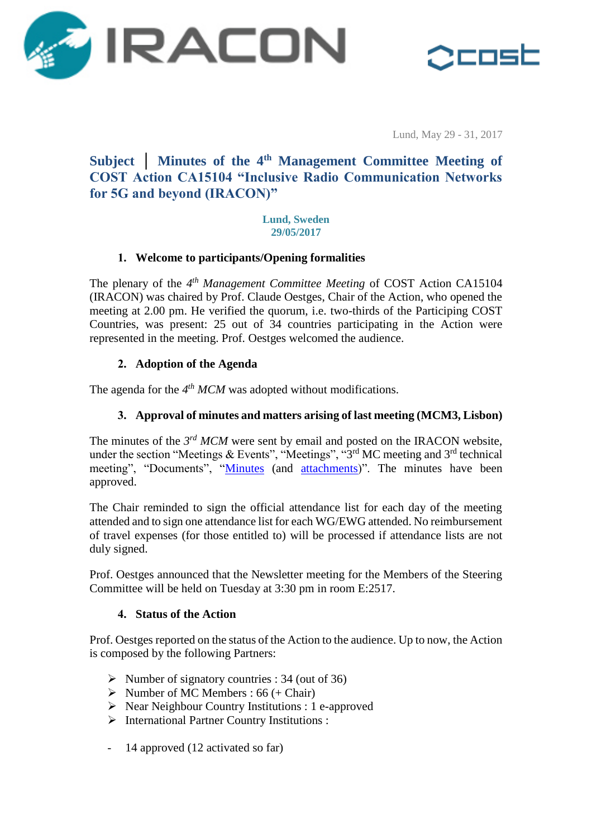



Lund, May 29 - 31, 2017

## **Subject │ Minutes of the 4 th Management Committee Meeting of COST Action CA15104 "Inclusive Radio Communication Networks for 5G and beyond (IRACON)"**

#### **Lund, Sweden 29/05/2017**

## **1. Welcome to participants/Opening formalities**

The plenary of the 4<sup>th</sup> Management Committee Meeting of COST Action CA15104 (IRACON) was chaired by Prof. Claude Oestges, Chair of the Action, who opened the meeting at 2.00 pm. He verified the quorum, i.e. two-thirds of the Participing COST Countries, was present: 25 out of 34 countries participating in the Action were represented in the meeting. Prof. Oestges welcomed the audience.

## **2. Adoption of the Agenda**

The agenda for the 4<sup>th</sup> MCM was adopted without modifications.

## **3. Approval of minutes and matters arising of last meeting (MCM3, Lisbon)**

The minutes of the 3<sup>rd</sup> MCM were sent by email and posted on the IRACON website, under the section "Meetings & Events", "Meetings", "3<sup>rd</sup> MC meeting and 3<sup>rd</sup> technical meeting", "Documents", ["Minutes](http://www.iracon.org/wp-content/uploads/2016/10/CA15104_MCM3_Minutes_20170301.pdf) (and [attachments\)](http://www.iracon.org/wp-content/uploads/2016/10/Attachments.zip)". The minutes have been approved.

The Chair reminded to sign the official attendance list for each day of the meeting attended and to sign one attendance list for each WG/EWG attended. No reimbursement of travel expenses (for those entitled to) will be processed if attendance lists are not duly signed.

Prof. Oestges announced that the Newsletter meeting for the Members of the Steering Committee will be held on Tuesday at 3:30 pm in room E:2517.

#### **4. Status of the Action**

Prof. Oestges reported on the status of the Action to the audience. Up to now, the Action is composed by the following Partners:

- $\triangleright$  Number of signatory countries : 34 (out of 36)
- $\triangleright$  Number of MC Members : 66 (+ Chair)
- ▶ Near Neighbour Country Institutions : 1 e-approved
- International Partner Country Institutions :
- 14 approved (12 activated so far)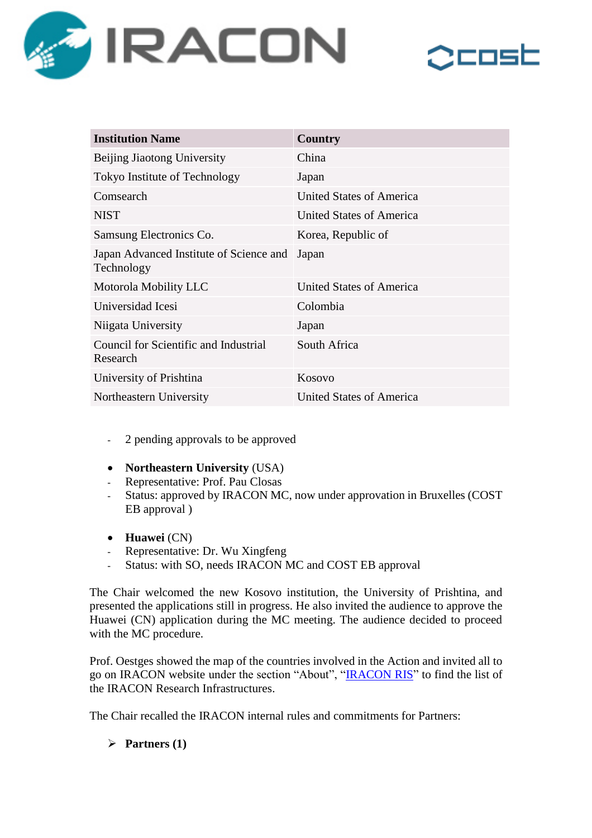



| <b>Institution Name</b>                               | <b>Country</b>                  |
|-------------------------------------------------------|---------------------------------|
| Beijing Jiaotong University                           | China                           |
| Tokyo Institute of Technology                         | Japan                           |
| Comsearch                                             | <b>United States of America</b> |
| <b>NIST</b>                                           | United States of America        |
| Samsung Electronics Co.                               | Korea, Republic of              |
| Japan Advanced Institute of Science and<br>Technology | Japan                           |
| Motorola Mobility LLC                                 | <b>United States of America</b> |
| Universidad Icesi                                     | Colombia                        |
| Niigata University                                    | Japan                           |
| Council for Scientific and Industrial<br>Research     | South Africa                    |
| University of Prishtina                               | Kosovo                          |
| Northeastern University                               | <b>United States of America</b> |

- 2 pending approvals to be approved
- **Northeastern University** (USA)
- Representative: Prof. Pau Closas
- Status: approved by IRACON MC, now under approvation in Bruxelles (COST EB approval )
- **Huawei** (CN)
- Representative: Dr. Wu Xingfeng
- Status: with SO, needs IRACON MC and COST EB approval

The Chair welcomed the new Kosovo institution, the University of Prishtina, and presented the applications still in progress. He also invited the audience to approve the Huawei (CN) application during the MC meeting. The audience decided to proceed with the MC procedure.

Prof. Oestges showed the map of the countries involved in the Action and invited all to go on IRACON website under the section "About", ["IRACON RIS"](http://radiokom.eti.pg.gda.pl/IRM/) to find the list of the IRACON Research Infrastructures.

The Chair recalled the IRACON internal rules and commitments for Partners:

 $\triangleright$  Partners (1)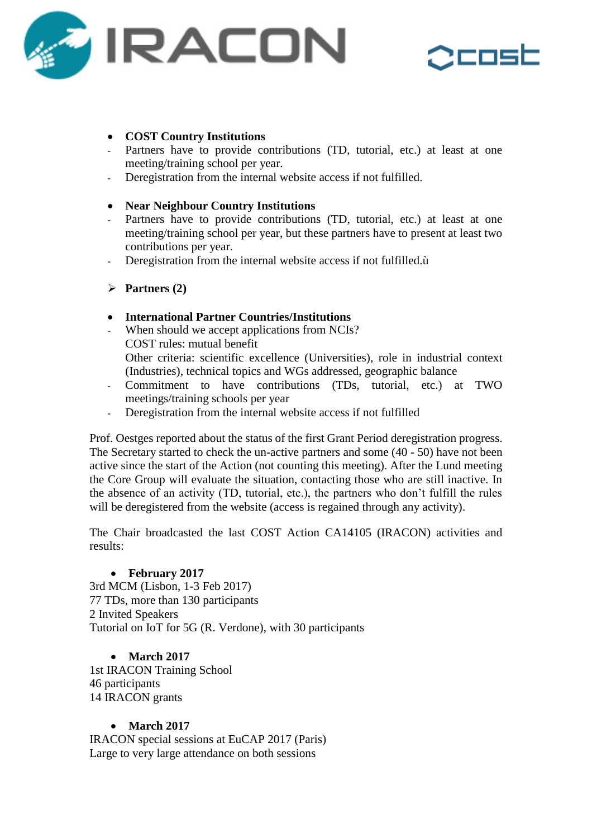



# • **COST Country Institutions**<br>• Partners have to provide co

- Partners have to provide contributions (TD, tutorial, etc.) at least at one meeting/training school per year.
- Deregistration from the internal website access if not fulfilled.

#### **Near Neighbour Country Institutions**

- Partners have to provide contributions (TD, tutorial, etc.) at least at one meeting/training school per year, but these partners have to present at least two contributions per year.
- Deregistration from the internal website access if not fulfilled.ù
- $\triangleright$  Partners (2)

#### **International Partner Countries/Institutions**

- When should we accept applications from NCIs? COST rules: mutual benefit Other criteria: scientific excellence (Universities), role in industrial context (Industries), technical topics and WGs addressed, geographic balance
- Commitment to have contributions (TDs, tutorial, etc.) at TWO meetings/training schools per year
- Deregistration from the internal website access if not fulfilled

Prof. Oestges reported about the status of the first Grant Period deregistration progress. The Secretary started to check the un-active partners and some (40 - 50) have not been active since the start of the Action (not counting this meeting). After the Lund meeting the Core Group will evaluate the situation, contacting those who are still inactive. In the absence of an activity (TD, tutorial, etc.), the partners who don't fulfill the rules will be deregistered from the website (access is regained through any activity).

The Chair broadcasted the last COST Action CA14105 (IRACON) activities and results:

## **February 2017**

3rd MCM (Lisbon, 1-3 Feb 2017) 77 TDs, more than 130 participants 2 Invited Speakers Tutorial on IoT for 5G (R. Verdone), with 30 participants

## **March 2017**

1st IRACON Training School 46 participants 14 IRACON grants

## **March 2017**

IRACON special sessions at EuCAP 2017 (Paris) Large to very large attendance on both sessions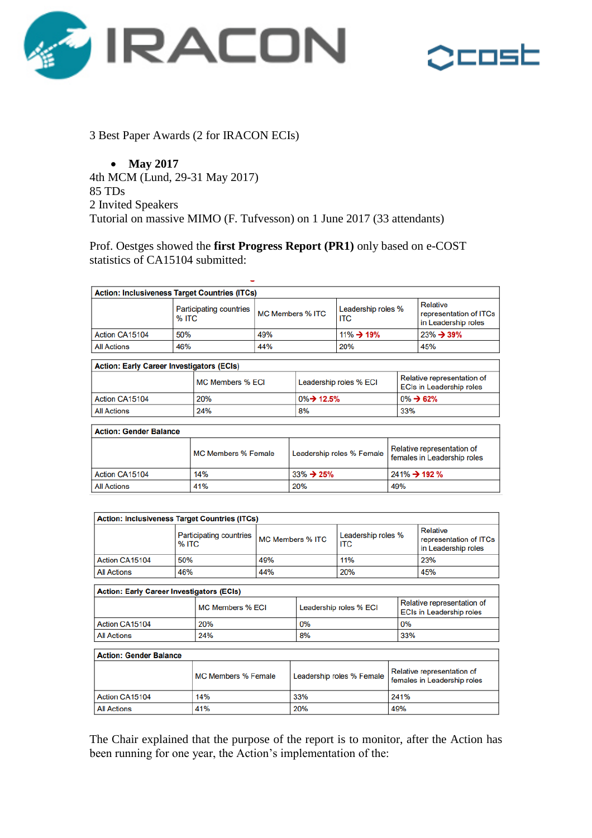



3 Best Paper Awards (2 for IRACON ECIs)

 **May 2017** 4th MCM (Lund, 29-31 May 2017) 85 TDs 2 Invited Speakers Tutorial on massive MIMO (F. Tufvesson) on 1 June 2017 (33 attendants)

Prof. Oestges showed the **first Progress Report (PR1)** only based on e-COST statistics of CA15104 submitted:

| <b>Action: Inclusiveness Target Countries (ITCs)</b> |                            |                                         |                           |                                       |                                                           |                                                               |                                                                  |
|------------------------------------------------------|----------------------------|-----------------------------------------|---------------------------|---------------------------------------|-----------------------------------------------------------|---------------------------------------------------------------|------------------------------------------------------------------|
|                                                      |                            | <b>Participating countries</b><br>% ITC |                           | <b>MC Members % ITC</b><br><b>ITC</b> |                                                           | Leadership roles %                                            | <b>Relative</b><br>representation of ITCs<br>in Leadership roles |
| Action CA15104                                       | 50%                        |                                         | 49%                       |                                       | $11\% \rightarrow 19\%$                                   |                                                               | $23\% \rightarrow 39\%$                                          |
| <b>All Actions</b>                                   | 46%                        |                                         | 44%                       |                                       | 20%                                                       |                                                               | 45%                                                              |
| <b>Action: Early Career Investigators (ECIs)</b>     |                            |                                         |                           |                                       |                                                           |                                                               |                                                                  |
|                                                      | <b>MC Members % ECI</b>    |                                         |                           | Leadership roles % ECI                |                                                           | Relative representation of<br><b>ECIs in Leadership roles</b> |                                                                  |
| <b>Action CA15104</b>                                |                            | 20%                                     | 0%→ 12.5%                 |                                       | $0\% \rightarrow 62\%$                                    |                                                               |                                                                  |
| <b>All Actions</b>                                   |                            | 24%                                     | 8%                        |                                       | 33%                                                       |                                                               |                                                                  |
| <b>Action: Gender Balance</b>                        |                            |                                         |                           |                                       |                                                           |                                                               |                                                                  |
|                                                      | <b>MC Members % Female</b> |                                         | Leadership roles % Female |                                       | Relative representation of<br>females in Leadership roles |                                                               |                                                                  |
| Action CA15104                                       | 14%                        |                                         | $33\% \rightarrow 25\%$   |                                       | 241% → 192 %                                              |                                                               |                                                                  |
| <b>All Actions</b>                                   | 41%<br>20%                 |                                         |                           | 49%                                   |                                                           |                                                               |                                                                  |
|                                                      |                            |                                         |                           |                                       |                                                           |                                                               |                                                                  |

| <b>Action: Inclusiveness Target Countries (ITCs)</b> |                                         |                         |                                  |                                                           |  |
|------------------------------------------------------|-----------------------------------------|-------------------------|----------------------------------|-----------------------------------------------------------|--|
|                                                      | <b>Participating countries</b><br>% ITC | <b>MC Members % ITC</b> | Leadership roles %<br><b>ITC</b> | Relative<br>representation of ITCs<br>in Leadership roles |  |
| Action CA15104                                       | 50%                                     | 49%                     | 11%                              | 23%                                                       |  |
| <b>All Actions</b>                                   | 46%                                     | 44%                     | 20%                              | 45%                                                       |  |

| <b>Action: Early Career Investigators (ECIs)</b> |                  |                        |                                                               |  |  |
|--------------------------------------------------|------------------|------------------------|---------------------------------------------------------------|--|--|
|                                                  | MC Members % ECI | Leadership roles % ECI | Relative representation of<br><b>ECIs in Leadership roles</b> |  |  |
| Action CA15104                                   | 20%              | 0%                     | 0%                                                            |  |  |
| <b>All Actions</b>                               | 24%              | 8%                     | 33%                                                           |  |  |

#### **Action: Gender Balance**

|                       | MC Members % Female | Leadership roles % Female | Relative representation of<br>females in Leadership roles |
|-----------------------|---------------------|---------------------------|-----------------------------------------------------------|
| <b>Action CA15104</b> | 14%                 | 33%                       | 241%                                                      |
| <b>All Actions</b>    | 41%                 | 20%                       | 49%                                                       |

The Chair explained that the purpose of the report is to monitor, after the Action has been running for one year, the Action's implementation of the: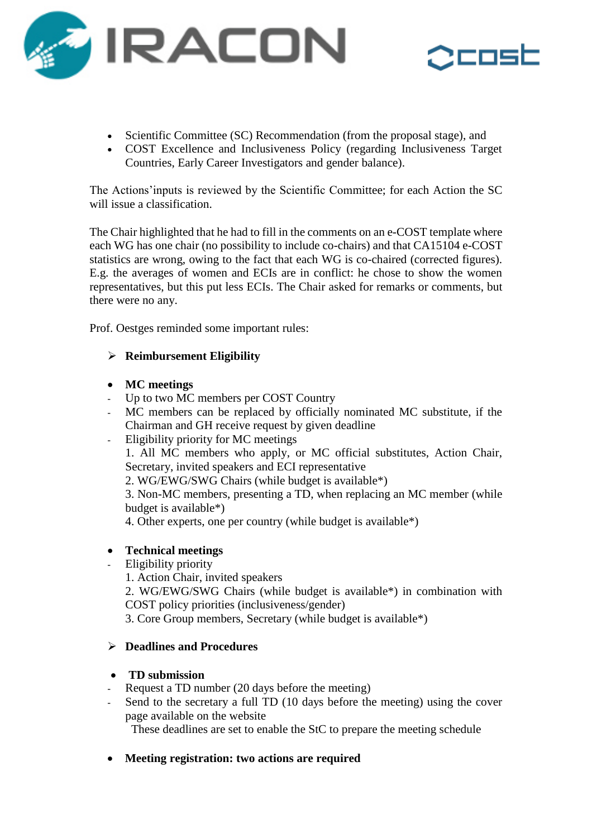



- Scientific Committee (SC) Recommendation (from the proposal stage), and
- COST Excellence and Inclusiveness Policy (regarding Inclusiveness Target Countries, Early Career Investigators and gender balance).

The Actions'inputs is reviewed by the Scientific Committee; for each Action the SC will issue a classification.

The Chair highlighted that he had to fill in the comments on an e-COST template where each WG has one chair (no possibility to include co-chairs) and that CA15104 e-COST statistics are wrong, owing to the fact that each WG is co-chaired (corrected figures). E.g. the averages of women and ECIs are in conflict: he chose to show the women representatives, but this put less ECIs. The Chair asked for remarks or comments, but there were no any.

Prof. Oestges reminded some important rules:

## **Reimbursement Eligibility**

#### **MC meetings**

- Up to two MC members per COST Country
- MC members can be replaced by officially nominated MC substitute, if the Chairman and GH receive request by given deadline
- Eligibility priority for MC meetings

1. All MC members who apply, or MC official substitutes, Action Chair, Secretary, invited speakers and ECI representative

2. WG/EWG/SWG Chairs (while budget is available\*)

3. Non-MC members, presenting a TD, when replacing an MC member (while budget is available\*)

4. Other experts, one per country (while budget is available\*)

## **Technical meetings**

- Eligibility priority
	- 1. Action Chair, invited speakers

2. WG/EWG/SWG Chairs (while budget is available\*) in combination with COST policy priorities (inclusiveness/gender)

3. Core Group members, Secretary (while budget is available\*)

## **Deadlines and Procedures**

## **TD submission**

- Request a TD number (20 days before the meeting)
- Send to the secretary a full TD (10 days before the meeting) using the cover page available on the website

These deadlines are set to enable the StC to prepare the meeting schedule

## **Meeting registration: two actions are required**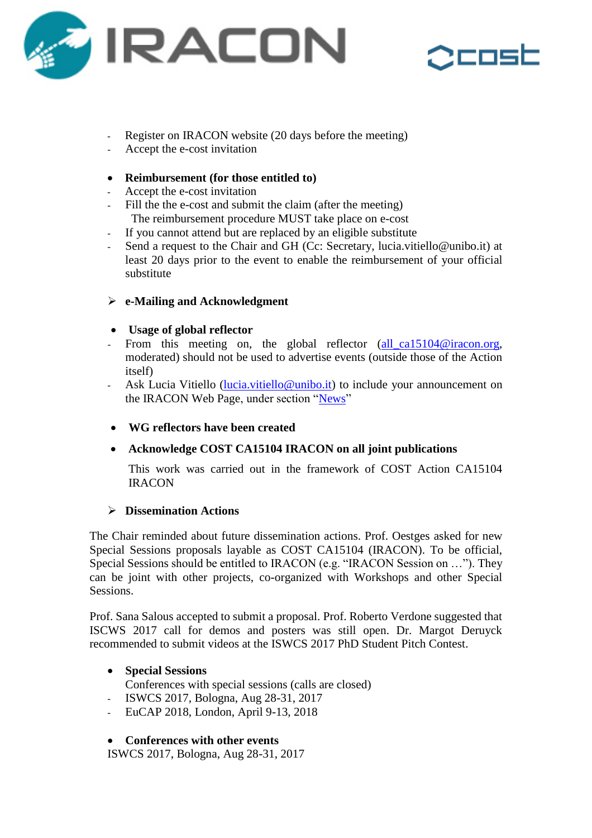



- Register on IRACON website (20 days before the meeting)
- Accept the e-cost invitation

## **Reimbursement (for those entitled to)**

- Accept the e-cost invitation
- Fill the the e-cost and submit the claim (after the meeting) The reimbursement procedure MUST take place on e-cost
- If you cannot attend but are replaced by an eligible substitute
- Send a request to the Chair and GH (Cc: Secretary, lucia.vitiello@unibo.it) at least 20 days prior to the event to enable the reimbursement of your official substitute

## **e-Mailing and Acknowledgment**

## **Usage of global reflector**

- From this meeting on, the global reflector [\(all\\_ca15104@iracon.org,](all_ca15104@iracon.org) moderated) should not be used to advertise events (outside those of the Action itself)
- Ask Lucia Vitiello [\(lucia.vitiello@unibo.it\)](lucia.vitiello@unibo.it) to include your announcement on the IRACON Web Page, under section ["News"](http://www.iracon.org/news/)
- **WG reflectors have been created**

## **Acknowledge COST CA15104 IRACON on all joint publications**

This work was carried out in the framework of COST Action CA15104 **IRACON** 

## **Dissemination Actions**

The Chair reminded about future dissemination actions. Prof. Oestges asked for new Special Sessions proposals layable as COST CA15104 (IRACON). To be official, Special Sessions should be entitled to IRACON (e.g. "IRACON Session on …"). They can be joint with other projects, co-organized with Workshops and other Special Sessions.

Prof. Sana Salous accepted to submit a proposal. Prof. Roberto Verdone suggested that ISCWS 2017 call for demos and posters was still open. Dr. Margot Deruyck recommended to submit videos at the ISWCS 2017 PhD Student Pitch Contest.

## **Special Sessions**

Conferences with special sessions (calls are closed)

- ISWCS 2017, Bologna, Aug 28-31, 2017
- EuCAP 2018, London, April 9-13, 2018

## **Conferences with other events**

ISWCS 2017, Bologna, Aug 28-31, 2017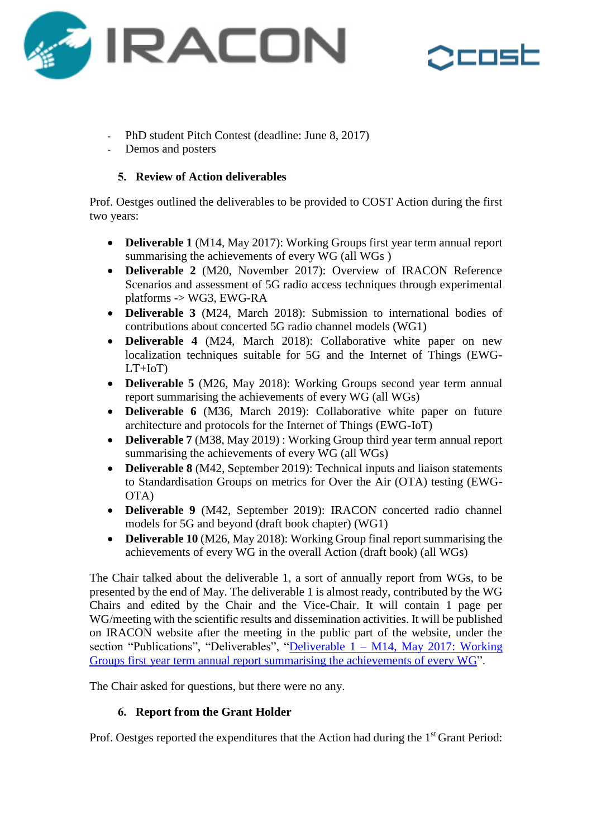



- PhD student Pitch Contest (deadline: June 8, 2017)
- Demos and posters

## **5. Review of Action deliverables**

Prof. Oestges outlined the deliverables to be provided to COST Action during the first two years:

- **Deliverable 1** (M14, May 2017): Working Groups first year term annual report summarising the achievements of every WG (all WGs )
- **Deliverable 2** (M20, November 2017): Overview of IRACON Reference Scenarios and assessment of 5G radio access techniques through experimental platforms -> WG3, EWG-RA
- **Deliverable 3** (M24, March 2018): Submission to international bodies of contributions about concerted 5G radio channel models (WG1)
- **Deliverable 4** (M24, March 2018): Collaborative white paper on new localization techniques suitable for 5G and the Internet of Things (EWG- $LT+IoT$ )
- **Deliverable 5** (M26, May 2018): Working Groups second year term annual report summarising the achievements of every WG (all WGs)
- **Deliverable 6** (M36, March 2019): Collaborative white paper on future architecture and protocols for the Internet of Things (EWG-IoT)
- **Deliverable 7** (M38, May 2019) : Working Group third year term annual report summarising the achievements of every WG (all WGs)
- **Deliverable 8** (M42, September 2019): Technical inputs and liaison statements to Standardisation Groups on metrics for Over the Air (OTA) testing (EWG-OTA)
- **Deliverable 9** (M42, September 2019): IRACON concerted radio channel models for 5G and beyond (draft book chapter) (WG1)
- **Deliverable 10** (M26, May 2018): Working Group final report summarising the achievements of every WG in the overall Action (draft book) (all WGs)

The Chair talked about the deliverable 1, a sort of annually report from WGs, to be presented by the end of May. The deliverable 1 is almost ready, contributed by the WG Chairs and edited by the Chair and the Vice-Chair. It will contain 1 page per WG/meeting with the scientific results and dissemination activities. It will be published on IRACON website after the meeting in the public part of the website, under the section "Publications", "Deliverables", "Deliverable  $1 - M14$ , May 2017: Working [Groups first year term annual report summarising the achievements of every WG"](http://www.iracon.org/wp-content/uploads/2017/06/IRACON-D1.pdf).

The Chair asked for questions, but there were no any.

## **6. Report from the Grant Holder**

Prof. Oestges reported the expenditures that the Action had during the 1<sup>st</sup> Grant Period: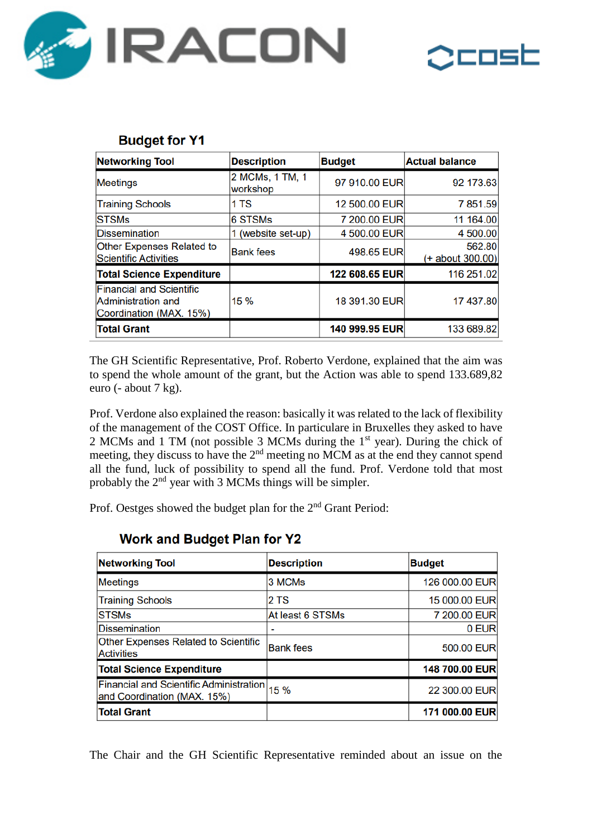



## **Budget for Y1**

| <b>Networking Tool</b>                                                                  | <b>Description</b>          | <b>Budget</b>  | <b>Actual balance</b>      |
|-----------------------------------------------------------------------------------------|-----------------------------|----------------|----------------------------|
| Meetings                                                                                | 2 MCMs, 1 TM, 1<br>workshop | 97 910.00 EUR  | 92 173.63                  |
| <b>Training Schools</b>                                                                 | 1 TS                        | 12 500.00 EUR  | 7 851.59                   |
| <b>STSMs</b>                                                                            | <b>6 STSMs</b>              | 7 200.00 EUR   | 11 164.00                  |
| <b>Dissemination</b>                                                                    | 1 (website set-up)          | 4 500.00 EUR   | 4 500.00                   |
| <b>Other Expenses Related to</b><br><b>Scientific Activities</b>                        | <b>Bank fees</b>            | 498.65 EUR     | 562.80<br>(+ about 300.00) |
| <b>Total Science Expenditure</b>                                                        |                             | 122 608.65 EUR | 116 251.02                 |
| <b>Financial and Scientific</b><br><b>Administration and</b><br>Coordination (MAX. 15%) | 15 %                        | 18 391.30 EUR  | 17 437.80                  |
| <b>Total Grant</b>                                                                      |                             | 140 999.95 EUR | 133 689.82                 |

The GH Scientific Representative, Prof. Roberto Verdone, explained that the aim was to spend the whole amount of the grant, but the Action was able to spend 133.689,82 euro (- about 7 kg).

Prof. Verdone also explained the reason: basically it was related to the lack of flexibility of the management of the COST Office. In particulare in Bruxelles they asked to have 2 MCMs and 1 TM (not possible 3 MCMs during the 1st year). During the chick of meeting, they discuss to have the  $2<sup>nd</sup>$  meeting no MCM as at the end they cannot spend all the fund, luck of possibility to spend all the fund. Prof. Verdone told that most probably the 2nd year with 3 MCMs things will be simpler.

Prof. Oestges showed the budget plan for the 2<sup>nd</sup> Grant Period:

| <b>Networking Tool</b>                                                        | <b>Description</b> | <b>Budget</b>  |
|-------------------------------------------------------------------------------|--------------------|----------------|
| Meetings                                                                      | 3 MCMs             | 126 000.00 EUR |
| <b>Training Schools</b>                                                       | 2 TS               | 15 000.00 EUR  |
| <b>STSMs</b>                                                                  | At least 6 STSMs   | 7 200.00 EUR   |
| <b>Dissemination</b>                                                          |                    | 0 EUR          |
| Other Expenses Related to Scientific<br><b>Activities</b>                     | <b>Bank fees</b>   | 500.00 EUR     |
| <b>Total Science Expenditure</b>                                              |                    | 148 700.00 EUR |
| <b>Financial and Scientific Administration</b><br>and Coordination (MAX. 15%) | 15 %               | 22 300.00 EUR  |
| <b>Total Grant</b>                                                            |                    | 171 000.00 EUR |

## **Work and Budget Plan for Y2**

The Chair and the GH Scientific Representative reminded about an issue on the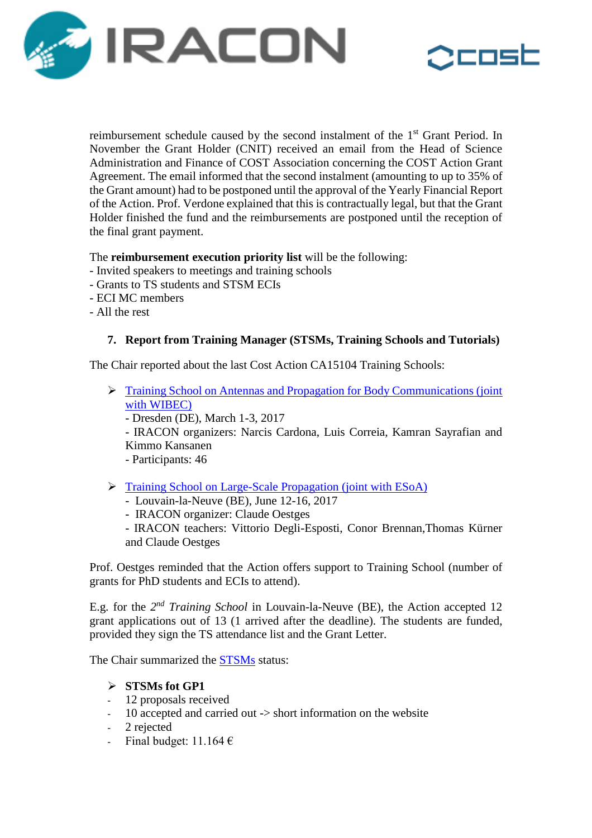



reimbursement schedule caused by the second instalment of the 1<sup>st</sup> Grant Period. In November the Grant Holder (CNIT) received an email from the Head of Science Administration and Finance of COST Association concerning the COST Action Grant Agreement. The email informed that the second instalment (amounting to up to 35% of the Grant amount) had to be postponed until the approval of the Yearly Financial Report of the Action. Prof. Verdone explained that this is contractually legal, but that the Grant Holder finished the fund and the reimbursements are postponed until the reception of the final grant payment.

#### The **reimbursement execution priority list** will be the following:

- Invited speakers to meetings and training schools
- Grants to TS students and STSM ECIs
- ECI MC members
- All the rest

## **7. Report from Training Manager (STSMs, Training Schools and Tutorials)**

The Chair reported about the last Cost Action CA15104 Training Schools:

 [Training School on Antennas and Propagation for Body Communications \(joint](http://www.iracon.org/training-schools/esoacost-iracon-joint-training-school-on-large-scale-radio-propagation/)  [with WIBEC\)](http://www.iracon.org/training-schools/esoacost-iracon-joint-training-school-on-large-scale-radio-propagation/)

- Dresden (DE), March 1-3, 2017

- IRACON organizers: Narcis Cardona, Luis Correia, Kamran Sayrafian and Kimmo Kansanen

- Participants: 46
- > [Training School on Large-Scale Propagation \(joint with ESoA\)](http://www.iracon.org/training-schools/wibeccost-iracon-joint-training-school-on-antennas-and-propagation-modeling-for-body-environment-communications/)
	- Louvain-la-Neuve (BE), June 12-16, 2017
	- IRACON organizer: Claude Oestges

- IRACON teachers: Vittorio Degli-Esposti, Conor Brennan,Thomas Kürner and Claude Oestges

Prof. Oestges reminded that the Action offers support to Training School (number of grants for PhD students and ECIs to attend).

E.g. for the 2<sup>nd</sup> Training School in Louvain-la-Neuve (BE), the Action accepted 12 grant applications out of 13 (1 arrived after the deadline). The students are funded, provided they sign the TS attendance list and the Grant Letter.

The Chair summarized the **STSMs** status:

## **STSMs fot GP1**

- 12 proposals received
- 10 accepted and carried out -> short information on the website
- 2 rejected
- Final budget:  $11.164 \text{ } \in$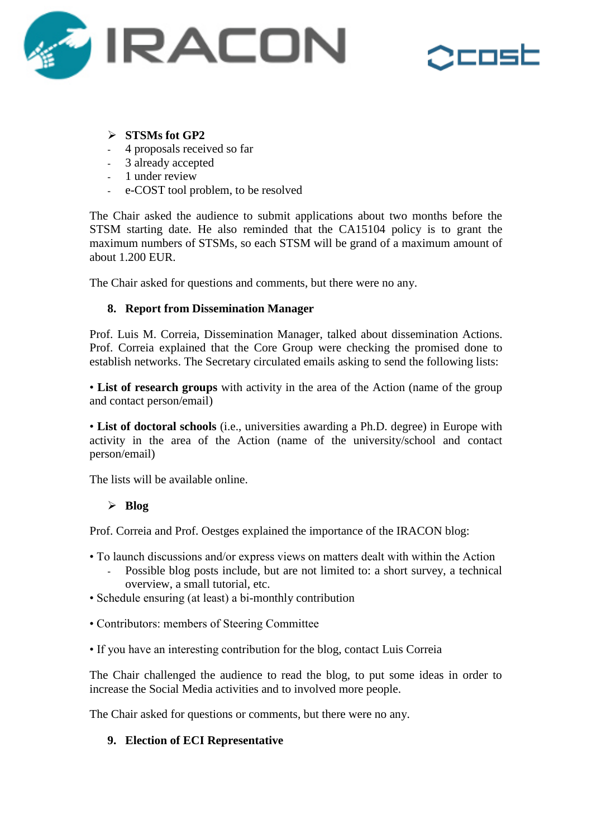



## **STSMs fot GP2**

- 4 proposals received so far
- 3 already accepted
- 1 under review
- e-COST tool problem, to be resolved

The Chair asked the audience to submit applications about two months before the STSM starting date. He also reminded that the CA15104 policy is to grant the maximum numbers of STSMs, so each STSM will be grand of a maximum amount of about 1.200 EUR.

The Chair asked for questions and comments, but there were no any.

## **8. Report from Dissemination Manager**

Prof. Luis M. Correia, Dissemination Manager, talked about dissemination Actions. Prof. Correia explained that the Core Group were checking the promised done to establish networks. The Secretary circulated emails asking to send the following lists:

• **List of research groups** with activity in the area of the Action (name of the group and contact person/email)

• **List of doctoral schools** (i.e., universities awarding a Ph.D. degree) in Europe with activity in the area of the Action (name of the university/school and contact person/email)

The lists will be available online.

## **Blog**

Prof. Correia and Prof. Oestges explained the importance of the IRACON blog:

- To launch discussions and/or express views on matters dealt with within the Action
	- Possible blog posts include, but are not limited to: a short survey, a technical overview, a small tutorial, etc.
- Schedule ensuring (at least) a bi-monthly contribution
- Contributors: members of Steering Committee
- If you have an interesting contribution for the blog, contact Luis Correia

The Chair challenged the audience to read the blog, to put some ideas in order to increase the Social Media activities and to involved more people.

The Chair asked for questions or comments, but there were no any.

## **9. Election of ECI Representative**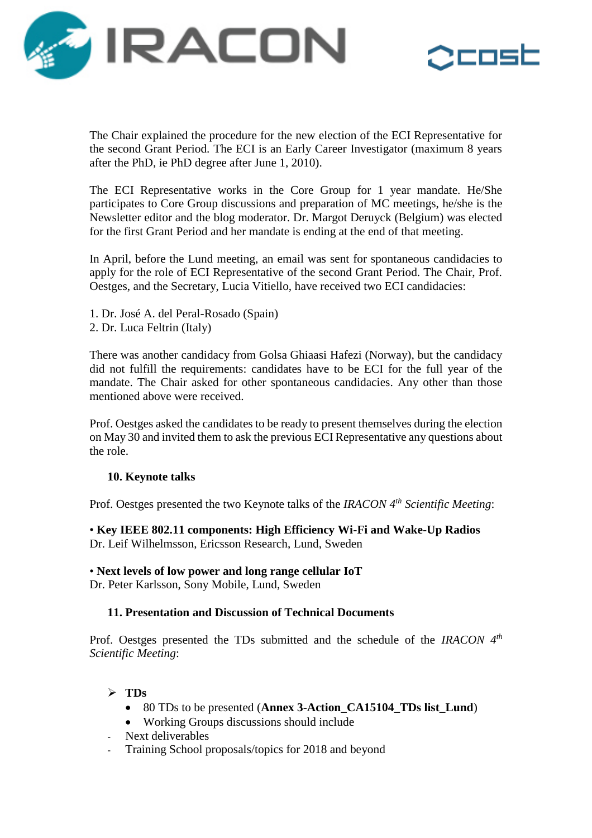



The Chair explained the procedure for the new election of the ECI Representative for the second Grant Period. The ECI is an Early Career Investigator (maximum 8 years after the PhD, ie PhD degree after June 1, 2010).

The ECI Representative works in the Core Group for 1 year mandate. He/She participates to Core Group discussions and preparation of MC meetings, he/she is the Newsletter editor and the blog moderator. Dr. Margot Deruyck (Belgium) was elected for the first Grant Period and her mandate is ending at the end of that meeting.

In April, before the Lund meeting, an email was sent for spontaneous candidacies to apply for the role of ECI Representative of the second Grant Period. The Chair, Prof. Oestges, and the Secretary, Lucia Vitiello, have received two ECI candidacies:

- 1. Dr. José A. del Peral-Rosado (Spain)
- 2. Dr. Luca Feltrin (Italy)

There was another candidacy from Golsa Ghiaasi Hafezi (Norway), but the candidacy did not fulfill the requirements: candidates have to be ECI for the full year of the mandate. The Chair asked for other spontaneous candidacies. Any other than those mentioned above were received.

Prof. Oestges asked the candidates to be ready to present themselves during the election on May 30 and invited them to ask the previous ECI Representative any questions about the role.

## **10. Keynote talks**

Prof. Oestges presented the two Keynote talks of the *IRACON 4 th Scientific Meeting*:

• **Key IEEE 802.11 components: High Efficiency Wi-Fi and Wake-Up Radios** Dr. Leif Wilhelmsson, Ericsson Research, Lund, Sweden

#### • **Next levels of low power and long range cellular IoT**

Dr. Peter Karlsson, Sony Mobile, Lund, Sweden

## **11. Presentation and Discussion of Technical Documents**

Prof. Oestges presented the TDs submitted and the schedule of the *IRACON* 4<sup>th</sup> *Scientific Meeting*:

## $\triangleright$  TDs

- 80 TDs to be presented (**Annex 3-Action\_CA15104\_TDs list\_Lund**)
- Working Groups discussions should include
- Next deliverables
- Training School proposals/topics for 2018 and beyond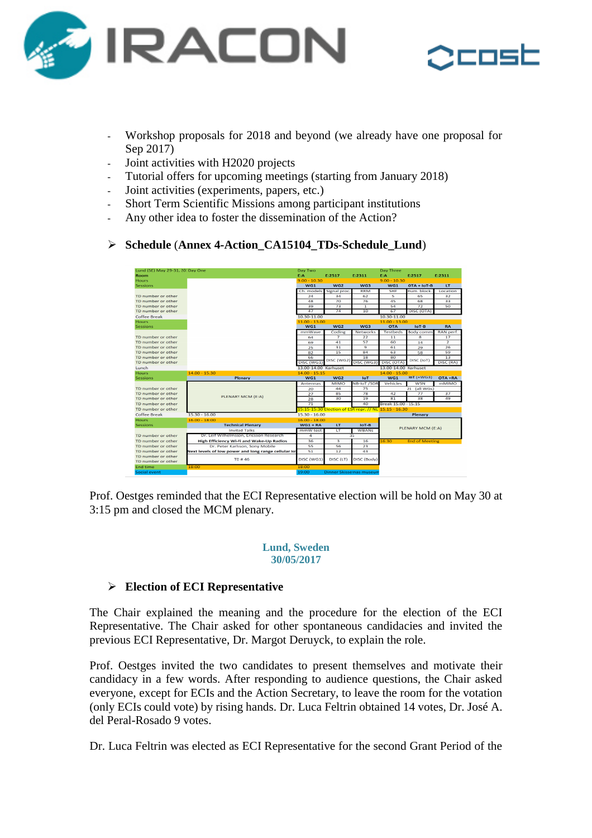



- Workshop proposals for 2018 and beyond (we already have one proposal for Sep 2017)
- Joint activities with H2020 projects
- Tutorial offers for upcoming meetings (starting from January 2018)
- Joint activities (experiments, papers, etc.)
- Short Term Scientific Missions among participant institutions
- Any other idea to foster the dissemination of the Action?

#### **Schedule** (**Annex 4-Action\_CA15104\_TDs-Schedule\_Lund**)

| Lund (SE) May 29-31, 20: Day One |                                                      | Day Two              |                 |                                                       | Day Three            |                       |                                                                                                                                 |
|----------------------------------|------------------------------------------------------|----------------------|-----------------|-------------------------------------------------------|----------------------|-----------------------|---------------------------------------------------------------------------------------------------------------------------------|
| Room                             |                                                      | E:A                  | E:2517          | E:2311                                                | E:A                  | E:2517                | E:2311                                                                                                                          |
| <b>Hours</b>                     |                                                      | $9.00 - 10.30$       |                 |                                                       | $9.00 - 10.30$       |                       |                                                                                                                                 |
| Sessions                         |                                                      | WG1                  | WG2             | WG3                                                   | W <sub>G1</sub>      | $OTA + IOT-B$         | LT                                                                                                                              |
|                                  |                                                      | Ch. models           | Signal proc     | <b>RRM</b>                                            | SHF                  | Hum. block.           | Location                                                                                                                        |
| TD number or other               |                                                      | 24                   | 34              | 62                                                    | ς                    | 65                    | 32                                                                                                                              |
| TD number or other               |                                                      | 48                   | 70              | 76                                                    | 45                   | 68                    | 33                                                                                                                              |
| TD number or other               |                                                      | 39                   | 73              | $\mathbf{1}$                                          | 54                   | 72                    | 50                                                                                                                              |
| TD number or other               |                                                      | 47                   | 74              | 10                                                    | 67                   | <b>DISC (OTA)</b>     |                                                                                                                                 |
| Coffee Break                     |                                                      | 10.30-11.00          |                 |                                                       | 10.30-11.00          |                       |                                                                                                                                 |
| Hours.                           |                                                      | $11.00 - 13.00$      |                 |                                                       | $11.00 - 13.00$      |                       |                                                                                                                                 |
| Sessions                         |                                                      | WG1                  | WG2             | WG3                                                   | <b>OTA</b>           | $IoT-B$               | <b>RA</b>                                                                                                                       |
|                                  |                                                      | mmWave               | Coding          | <b>Networks</b>                                       | <b>Testbeds</b>      | Body comm             | RAN perf.                                                                                                                       |
| TD number or other               |                                                      | 64                   | $\overline{ }$  | 22                                                    | 11                   | $\mathbf{a}$          | 17                                                                                                                              |
| TD number or other               |                                                      | 69                   | 41              | 57                                                    | 60                   | 14                    | $\overline{2}$                                                                                                                  |
| TD number or other               |                                                      | 25                   | 31              | 9                                                     | 61                   | 29                    | 26                                                                                                                              |
| TD number or other               |                                                      | 82                   | 15              | 84                                                    | 63                   | 58                    | 59                                                                                                                              |
| TD number or other               |                                                      | 66                   | DISC (WG2)      | 18                                                    | 80                   | <b>DISC (IoT)</b>     | 13                                                                                                                              |
| TD number or other               |                                                      | DISC (WG1)           |                 | DISC (WG3)                                            | DISC (OTA)           |                       | DISC (RA)                                                                                                                       |
| Lunch                            |                                                      | 13.00-14.00 Karhuset |                 |                                                       | 13.00-14.00 Karhuset |                       |                                                                                                                                 |
| <b>Hours</b>                     | $14.00 - 15.30$                                      | $14.00 - 15.15$      |                 |                                                       | $14.00 - 15.00$      |                       |                                                                                                                                 |
|                                  |                                                      |                      |                 |                                                       |                      |                       |                                                                                                                                 |
| Sessions                         | Plenary                                              | WG1                  | W <sub>G2</sub> | <b>IoT</b>                                            | WG1                  | $IOT (+WG3)$          | OTA +RA                                                                                                                         |
|                                  |                                                      | Antennas             | <b>MIMO</b>     | NB-IoT /SDR                                           | <b>Vehicles</b>      | WSN                   | mMIMO                                                                                                                           |
| TD number or other               |                                                      | 20                   | 44              | 75                                                    |                      | 21 (all WGs)          |                                                                                                                                 |
| TD number or other               |                                                      | 27                   | 85              | 78                                                    | 42                   | 77                    | 37                                                                                                                              |
| TD number or other               | PLENARY MCM (E:A)                                    | 28                   | 30              | 19                                                    | 81                   | 38                    | 49                                                                                                                              |
| TD number or other               |                                                      | 71                   |                 | 40                                                    | Break 15.00 - 15.15  |                       |                                                                                                                                 |
| TD number or other               |                                                      |                      |                 | 15:15-15:30 Election of ESR repr. // NL 15.15 - 16.30 |                      |                       |                                                                                                                                 |
| Coffee Break                     | $15.30 - 16.00$                                      | $15.30 - 16.00$      |                 |                                                       |                      | Plenary               | $\mathcal{L}^{\text{max}}_{\text{max}}$ and $\mathcal{L}^{\text{max}}_{\text{max}}$ and $\mathcal{L}^{\text{max}}_{\text{max}}$ |
| Hours                            | $16.00 - 18:00$                                      | $16.00 - 18.00$      |                 |                                                       |                      |                       |                                                                                                                                 |
| Sessions                         | <b>Technical Plenary</b>                             | $WGI + RA$           | LT              | $IoT-B$                                               |                      |                       |                                                                                                                                 |
|                                  | <b>Invited Talks</b>                                 | mmW test             | LT              | <b>WBANs</b>                                          |                      | PLENARY MCM (E:A)     |                                                                                                                                 |
| TD number or other               | Dr. Leif Wilhelmsson, Ericsson Research              | а                    |                 | 35                                                    |                      |                       |                                                                                                                                 |
| TD number or other               | High Efficiency Wi-Fi and Wake-Up Radios             | 36                   | $\overline{3}$  | 16                                                    | 16:30                | <b>End of Meeting</b> |                                                                                                                                 |
| TD number or other               | Dr. Peter Karlsson, Sony Mobile                      | 55                   | 56              | 23                                                    |                      |                       |                                                                                                                                 |
| TD number or other               | Next levels of low power and long range cellular lo' | 51                   | 12              | 43.                                                   |                      |                       |                                                                                                                                 |
| TD number or other               |                                                      |                      |                 |                                                       |                      |                       |                                                                                                                                 |
| TD number or other               | TD #46                                               | DISC (WG1)           | DISC (LT)       | DISC (Body)                                           |                      |                       |                                                                                                                                 |
| <b>End time</b>                  | 18:00                                                | 18:00                |                 |                                                       |                      |                       |                                                                                                                                 |

Prof. Oestges reminded that the ECI Representative election will be hold on May 30 at 3:15 pm and closed the MCM plenary.

#### **Lund, Sweden 30/05/2017**

## **Election of ECI Representative**

The Chair explained the meaning and the procedure for the election of the ECI Representative. The Chair asked for other spontaneous candidacies and invited the previous ECI Representative, Dr. Margot Deruyck, to explain the role.

Prof. Oestges invited the two candidates to present themselves and motivate their candidacy in a few words. After responding to audience questions, the Chair asked everyone, except for ECIs and the Action Secretary, to leave the room for the votation (only ECIs could vote) by rising hands. Dr. Luca Feltrin obtained 14 votes, Dr. José A. del Peral-Rosado 9 votes.

Dr. Luca Feltrin was elected as ECI Representative for the second Grant Period of the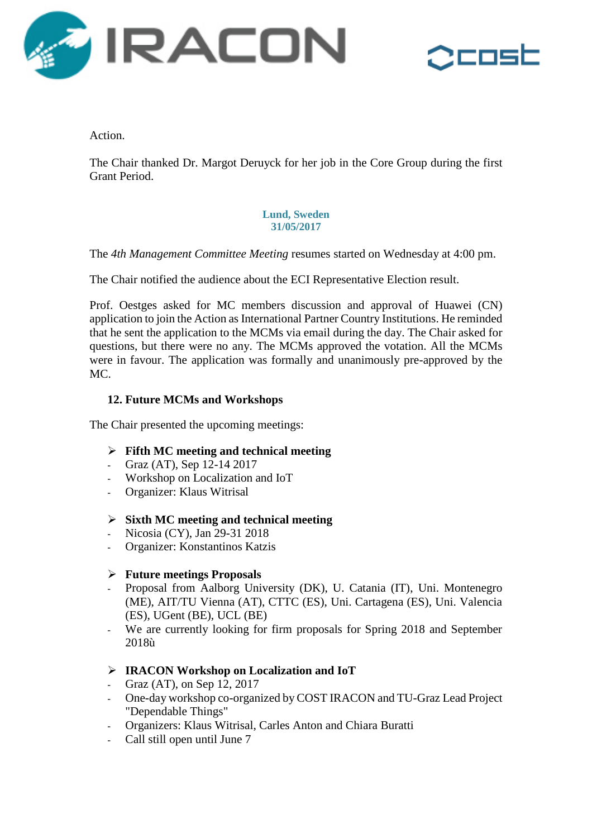



Action.

The Chair thanked Dr. Margot Deruyck for her job in the Core Group during the first Grant Period.

#### **Lund, Sweden 31/05/2017**

The *4th Management Committee Meeting* resumes started on Wednesday at 4:00 pm.

The Chair notified the audience about the ECI Representative Election result.

Prof. Oestges asked for MC members discussion and approval of Huawei (CN) application to join the Action as International Partner Country Institutions. He reminded that he sent the application to the MCMs via email during the day. The Chair asked for questions, but there were no any. The MCMs approved the votation. All the MCMs were in favour. The application was formally and unanimously pre-approved by the MC.

## **12. Future MCMs and Workshops**

The Chair presented the upcoming meetings:

## **Fifth MC meeting and technical meeting**

- Graz (AT), Sep 12-14 2017
- Workshop on Localization and IoT
- Organizer: Klaus Witrisal

## **Sixth MC meeting and technical meeting**

- Nicosia (CY), Jan 29-31 2018
- Organizer: Konstantinos Katzis

## **Future meetings Proposals**

- Proposal from Aalborg University (DK), U. Catania (IT), Uni. Montenegro (ME), AIT/TU Vienna (AT), CTTC (ES), Uni. Cartagena (ES), Uni. Valencia (ES), UGent (BE), UCL (BE)
- We are currently looking for firm proposals for Spring 2018 and September 2018ù

## **IRACON Workshop on Localization and IoT**

- Graz (AT), on Sep 12, 2017
- One-day workshop co-organized by COST IRACON and TU-Graz Lead Project "Dependable Things"
- Organizers: Klaus Witrisal, Carles Anton and Chiara Buratti
- Call still open until June 7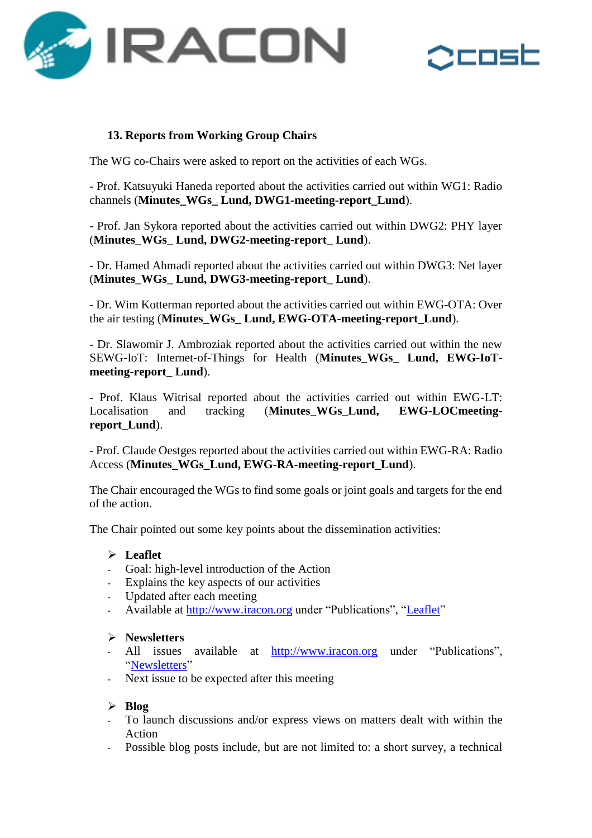



## **13. Reports from Working Group Chairs**

The WG co-Chairs were asked to report on the activities of each WGs.

- Prof. Katsuyuki Haneda reported about the activities carried out within WG1: Radio channels (**Minutes\_WGs\_ Lund, DWG1-meeting-report\_Lund**).

- Prof. Jan Sykora reported about the activities carried out within DWG2: PHY layer (**Minutes\_WGs\_ Lund, DWG2-meeting-report\_ Lund**).

- Dr. Hamed Ahmadi reported about the activities carried out within DWG3: Net layer (**Minutes\_WGs\_ Lund, DWG3-meeting-report\_ Lund**).

- Dr. Wim Kotterman reported about the activities carried out within EWG-OTA: Over the air testing (**Minutes\_WGs\_ Lund, EWG-OTA-meeting-report\_Lund**).

- Dr. Slawomir J. Ambroziak reported about the activities carried out within the new SEWG-IoT: Internet-of-Things for Health (**Minutes\_WGs\_ Lund, EWG-IoTmeeting-report\_ Lund**).

- Prof. Klaus Witrisal reported about the activities carried out within EWG-LT: Localisation and tracking (Minutes WGs Lund, EWG-LOCmeeting**report\_Lund**).

- Prof. Claude Oestges reported about the activities carried out within EWG-RA: Radio Access (**Minutes\_WGs\_Lund, EWG-RA-meeting-report\_Lund**).

The Chair encouraged the WGs to find some goals or joint goals and targets for the end of the action.

The Chair pointed out some key points about the dissemination activities:

#### **Leaflet**

- Goal: high-level introduction of the Action
- Explains the key aspects of our activities
- Updated after each meeting
- Available at [http://www.iracon.org](http://www.iracon.org/) under "Publications", ["Leaflet"](•%09http:/www.iracon.org/wp-content/uploads/2016/03/leaflet_v3.pdf)

#### **Newsletters**

- All issues available at [http://www.iracon.org](http://www.iracon.org/) under "Publications", ["Newsletters"](http://www.iracon.org/newsletters/)
- Next issue to be expected after this meeting

#### **Blog**

- To launch discussions and/or express views on matters dealt with within the Action
- Possible blog posts include, but are not limited to: a short survey, a technical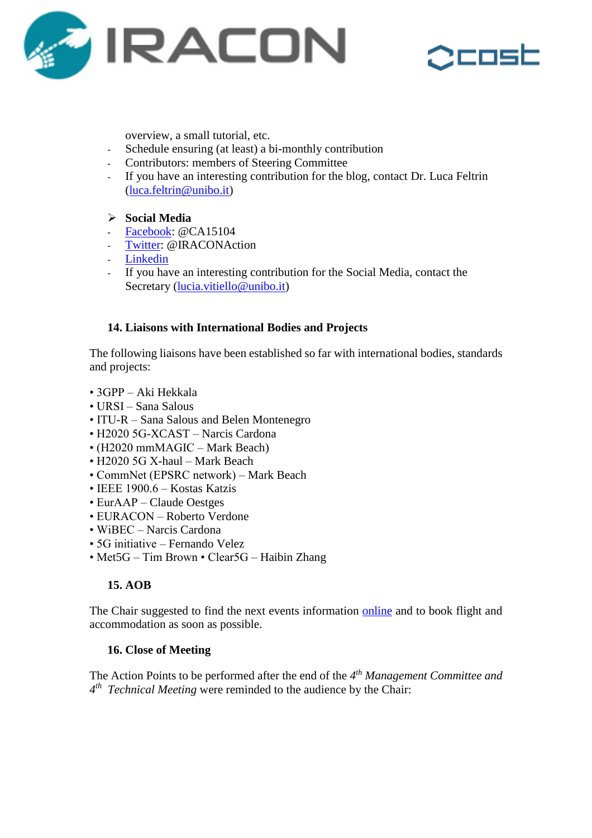



overview, a small tutorial, etc.

- Schedule ensuring (at least) a bi-monthly contribution
- Contributors: members of Steering Committee
- If you have an interesting contribution for the blog, contact Dr. Luca Feltrin [\(luca.feltrin@unibo.it\)](luca.feltrin@unibo.it)

## **Social Media**

- [Facebook:](https://www.facebook.com/CA15104/) @CA15104
- [Twitter:](https://twitter.com/IRACONAction) @IRACONAction
- [Linkedin](https://www.linkedin.com/company/10854437/)
- If you have an interesting contribution for the Social Media, contact the Secretary [\(lucia.vitiello@unibo.it\)](mailto:lucia.vitiello@unibo.it)

## **14. Liaisons with International Bodies and Projects**

The following liaisons have been established so far with international bodies, standards and projects:

- 3GPP Aki Hekkala
- URSI Sana Salous
- ITU-R Sana Salous and Belen Montenegro
- H2020 5G-XCAST Narcis Cardona
- (H2020 mmMAGIC Mark Beach)
- H2020 5G X-haul Mark Beach
- CommNet (EPSRC network) Mark Beach
- IEEE 1900.6 Kostas Katzis
- EurAAP Claude Oestges
- EURACON Roberto Verdone
- WiBEC Narcis Cardona
- 5G initiative Fernando Velez
- Met5G Tim Brown Clear5G Haibin Zhang

## **15. AOB**

The Chair suggested to find the next events information [online](http://www.iracon.org/meeting/5th-mc-meeting-and-5th-technical-meeting/) and to book flight and accommodation as soon as possible.

## **16. Close of Meeting**

The Action Points to be performed after the end of the *4 th Management Committee and 4 th Technical Meeting* were reminded to the audience by the Chair: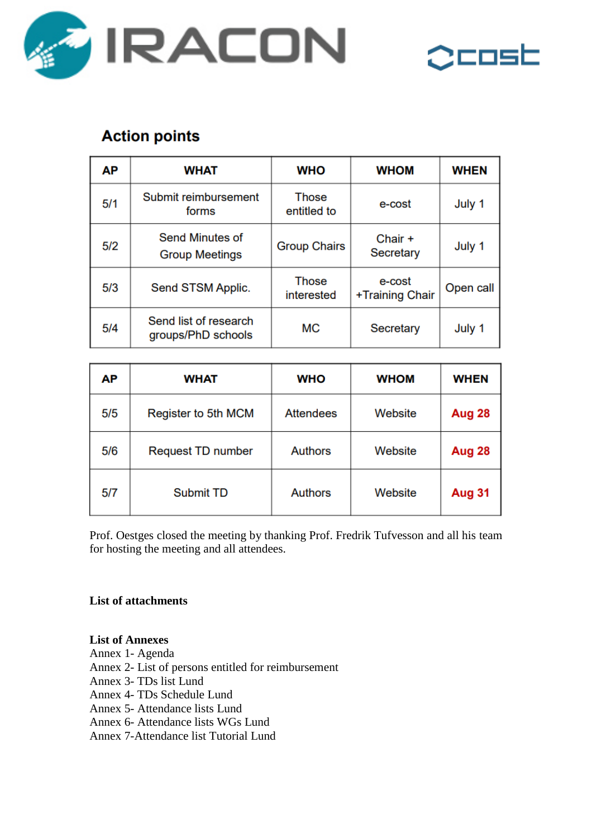



# **Action points**

| АΡ  | <b>WHAT</b>                                     | <b>WHO</b>                  | <b>WHOM</b>               | <b>WHEN</b> |
|-----|-------------------------------------------------|-----------------------------|---------------------------|-------------|
| 5/1 | Submit reimbursement<br>forms                   | <b>Those</b><br>entitled to | e-cost                    | July 1      |
| 5/2 | <b>Send Minutes of</b><br><b>Group Meetings</b> | <b>Group Chairs</b>         | Chair +<br>Secretary      | July 1      |
| 5/3 | Send STSM Applic.                               | <b>Those</b><br>interested  | e-cost<br>+Training Chair | Open call   |
| 5/4 | Send list of research<br>groups/PhD schools     | <b>MC</b>                   | Secretary                 | July 1      |

| АΡ  | <b>WHAT</b>              | <b>WHO</b>       | <b>WHOM</b> | <b>WHEN</b>   |
|-----|--------------------------|------------------|-------------|---------------|
| 5/5 | Register to 5th MCM      | <b>Attendees</b> | Website     | Aug 28        |
| 5/6 | <b>Request TD number</b> | <b>Authors</b>   | Website     | Aug 28        |
| 5/7 | <b>Submit TD</b>         | <b>Authors</b>   | Website     | <b>Aug 31</b> |

Prof. Oestges closed the meeting by thanking Prof. Fredrik Tufvesson and all his team for hosting the meeting and all attendees.

## **List of attachments**

#### **List of Annexes**

- Annex 1- Agenda
- Annex 2- List of persons entitled for reimbursement
- Annex 3- TDs list Lund
- Annex 4- TDs Schedule Lund
- Annex 5- Attendance lists Lund
- Annex 6- Attendance lists WGs Lund
- Annex 7-Attendance list Tutorial Lund